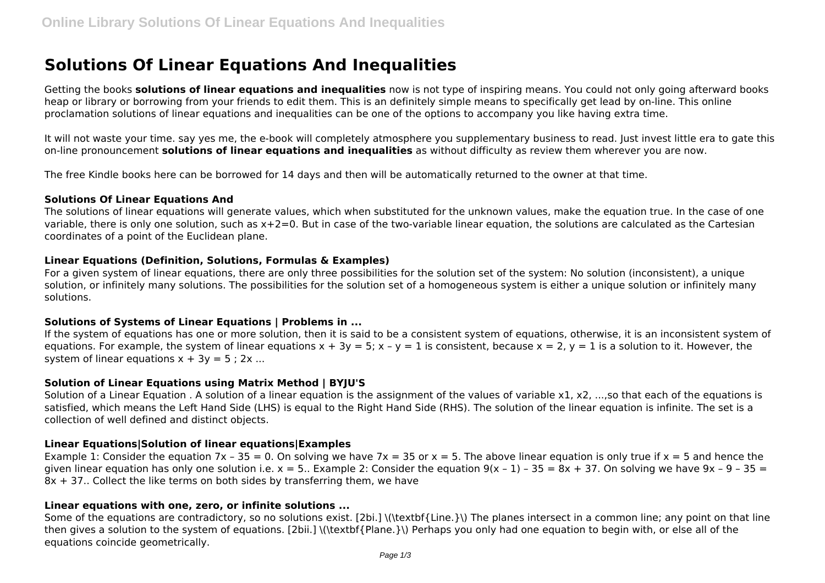# **Solutions Of Linear Equations And Inequalities**

Getting the books **solutions of linear equations and inequalities** now is not type of inspiring means. You could not only going afterward books heap or library or borrowing from your friends to edit them. This is an definitely simple means to specifically get lead by on-line. This online proclamation solutions of linear equations and inequalities can be one of the options to accompany you like having extra time.

It will not waste your time. say yes me, the e-book will completely atmosphere you supplementary business to read. Just invest little era to gate this on-line pronouncement **solutions of linear equations and inequalities** as without difficulty as review them wherever you are now.

The free Kindle books here can be borrowed for 14 days and then will be automatically returned to the owner at that time.

#### **Solutions Of Linear Equations And**

The solutions of linear equations will generate values, which when substituted for the unknown values, make the equation true. In the case of one variable, there is only one solution, such as x+2=0. But in case of the two-variable linear equation, the solutions are calculated as the Cartesian coordinates of a point of the Euclidean plane.

## **Linear Equations (Definition, Solutions, Formulas & Examples)**

For a given system of linear equations, there are only three possibilities for the solution set of the system: No solution (inconsistent), a unique solution, or infinitely many solutions. The possibilities for the solution set of a homogeneous system is either a unique solution or infinitely many solutions.

## **Solutions of Systems of Linear Equations | Problems in ...**

If the system of equations has one or more solution, then it is said to be a consistent system of equations, otherwise, it is an inconsistent system of equations. For example, the system of linear equations  $x + 3y = 5$ ;  $x - y = 1$  is consistent, because  $x = 2$ ,  $y = 1$  is a solution to it. However, the system of linear equations  $x + 3y = 5 : 2x ...$ 

## **Solution of Linear Equations using Matrix Method | BYJU'S**

Solution of a Linear Equation . A solution of a linear equation is the assignment of the values of variable x1, x2, ...,so that each of the equations is satisfied, which means the Left Hand Side (LHS) is equal to the Right Hand Side (RHS). The solution of the linear equation is infinite. The set is a collection of well defined and distinct objects.

## **Linear Equations|Solution of linear equations|Examples**

Example 1: Consider the equation 7x – 35 = 0. On solving we have 7x = 35 or x = 5. The above linear equation is only true if x = 5 and hence the given linear equation has only one solution i.e.  $x = 5$ . Example 2: Consider the equation  $9(x - 1) - 35 = 8x + 37$ . On solving we have  $9x - 9 - 35 = 1$ 8x + 37.. Collect the like terms on both sides by transferring them, we have

## **Linear equations with one, zero, or infinite solutions ...**

Some of the equations are contradictory, so no solutions exist. [2bi.] \(\textbf{Line.}\) The planes intersect in a common line; any point on that line then gives a solution to the system of equations. [2bii.] \(\textbf{Plane.}\) Perhaps you only had one equation to begin with, or else all of the equations coincide geometrically.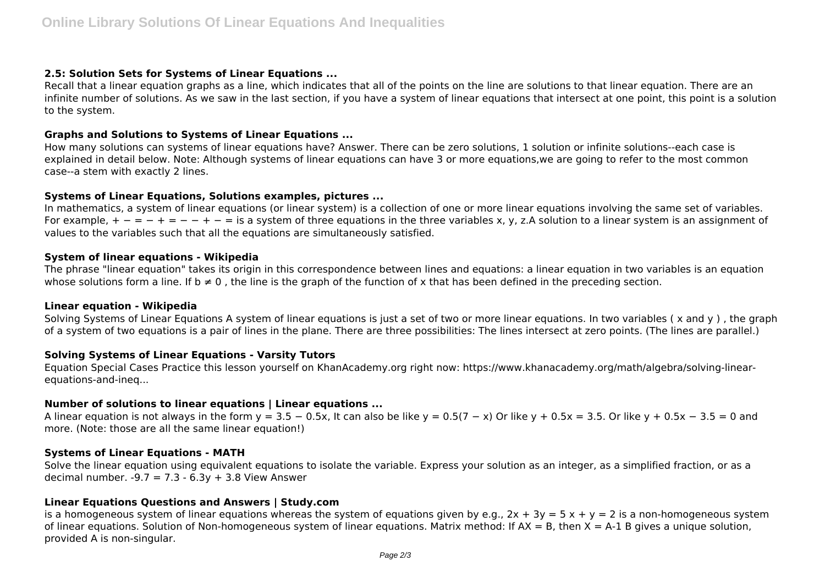## **2.5: Solution Sets for Systems of Linear Equations ...**

Recall that a linear equation graphs as a line, which indicates that all of the points on the line are solutions to that linear equation. There are an infinite number of solutions. As we saw in the last section, if you have a system of linear equations that intersect at one point, this point is a solution to the system.

## **Graphs and Solutions to Systems of Linear Equations ...**

How many solutions can systems of linear equations have? Answer. There can be zero solutions, 1 solution or infinite solutions--each case is explained in detail below. Note: Although systems of linear equations can have 3 or more equations,we are going to refer to the most common case--a stem with exactly 2 lines.

## **Systems of Linear Equations, Solutions examples, pictures ...**

In mathematics, a system of linear equations (or linear system) is a collection of one or more linear equations involving the same set of variables. For example,  $+ - = - + - - - = -$  is a system of three equations in the three variables x, y, z.A solution to a linear system is an assignment of values to the variables such that all the equations are simultaneously satisfied.

## **System of linear equations - Wikipedia**

The phrase "linear equation" takes its origin in this correspondence between lines and equations: a linear equation in two variables is an equation whose solutions form a line. If  $b \neq 0$ , the line is the graph of the function of x that has been defined in the preceding section.

## **Linear equation - Wikipedia**

Solving Systems of Linear Equations A system of linear equations is just a set of two or more linear equations. In two variables ( x and y ) , the graph of a system of two equations is a pair of lines in the plane. There are three possibilities: The lines intersect at zero points. (The lines are parallel.)

# **Solving Systems of Linear Equations - Varsity Tutors**

Equation Special Cases Practice this lesson yourself on KhanAcademy.org right now: https://www.khanacademy.org/math/algebra/solving-linearequations-and-ineq...

# **Number of solutions to linear equations | Linear equations ...**

A linear equation is not always in the form y = 3.5 – 0.5x, It can also be like y = 0.5(7 – x) Or like y + 0.5x = 3.5. Or like y + 0.5x – 3.5 = 0 and more. (Note: those are all the same linear equation!)

## **Systems of Linear Equations - MATH**

Solve the linear equation using equivalent equations to isolate the variable. Express your solution as an integer, as a simplified fraction, or as a decimal number.  $-9.7 = 7.3 - 6.3y + 3.8$  View Answer

# **Linear Equations Questions and Answers | Study.com**

is a homogeneous system of linear equations whereas the system of equations given by e.g.,  $2x + 3y = 5x + y = 2$  is a non-homogeneous system of linear equations. Solution of Non-homogeneous system of linear equations. Matrix method: If  $AX = B$ , then  $X = A-1$  B gives a unique solution, provided A is non-singular.